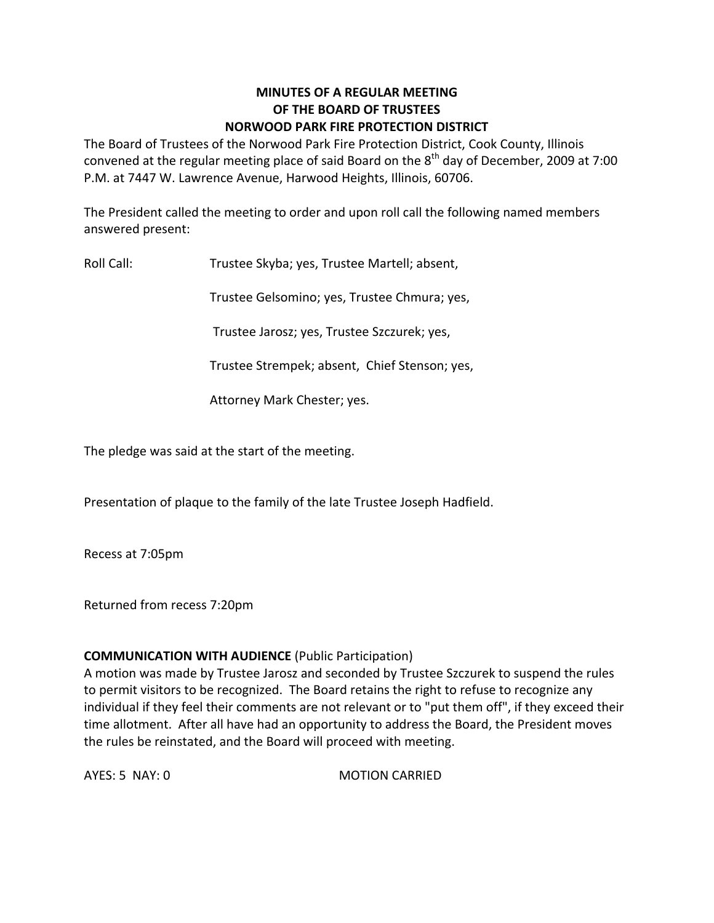## **MINUTES OF A REGULAR MEETING OF THE BOARD OF TRUSTEES NORWOOD PARK FIRE PROTECTION DISTRICT**

The Board of Trustees of the Norwood Park Fire Protection District, Cook County, Illinois convened at the regular meeting place of said Board on the  $8^{\text{th}}$  day of December, 2009 at 7:00 P.M. at 7447 W. Lawrence Avenue, Harwood Heights, Illinois, 60706.

The President called the meeting to order and upon roll call the following named members answered present:

Roll Call: Trustee Skyba; yes, Trustee Martell; absent,

Trustee Gelsomino; yes, Trustee Chmura; yes,

Trustee Jarosz; yes, Trustee Szczurek; yes,

Trustee Strempek; absent, Chief Stenson; yes,

Attorney Mark Chester; yes.

The pledge was said at the start of the meeting.

Presentation of plaque to the family of the late Trustee Joseph Hadfield.

Recess at 7:05pm

Returned from recess 7:20pm

## **COMMUNICATION WITH AUDIENCE** (Public Participation)

A motion was made by Trustee Jarosz and seconded by Trustee Szczurek to suspend the rules to permit visitors to be recognized. The Board retains the right to refuse to recognize any individual if they feel their comments are not relevant or to "put them off", if they exceed their time allotment. After all have had an opportunity to address the Board, the President moves the rules be reinstated, and the Board will proceed with meeting.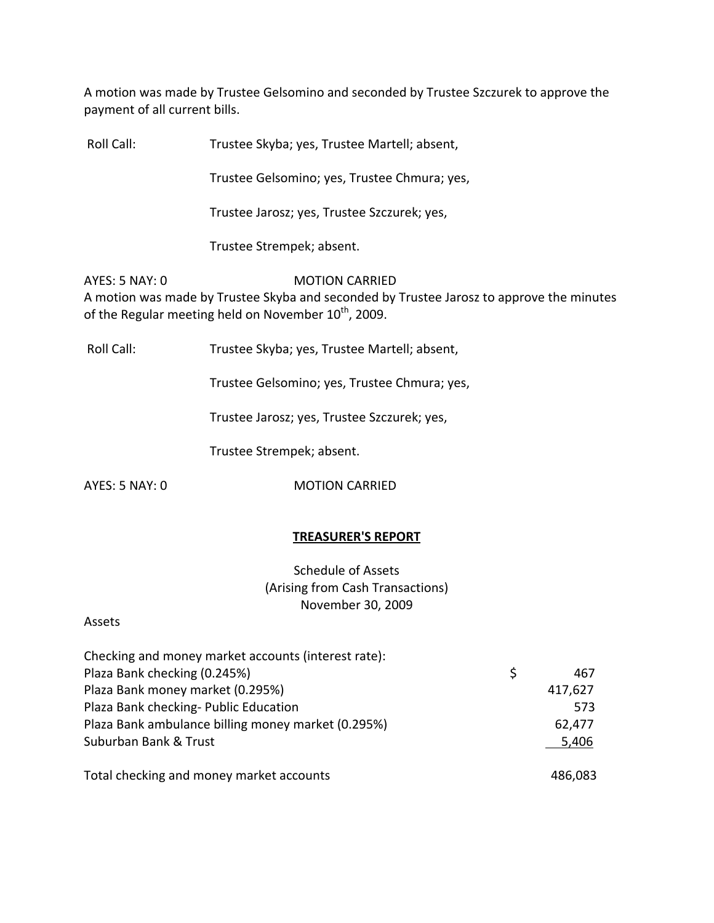A motion was made by Trustee Gelsomino and seconded by Trustee Szczurek to approve the payment of all current bills.

Roll Call: Trustee Skyba; yes, Trustee Martell; absent, Trustee Gelsomino; yes, Trustee Chmura; yes, Trustee Jarosz; yes, Trustee Szczurek; yes,

Trustee Strempek; absent.

AYES: 5 NAY: 0 MOTION CARRIED A motion was made by Trustee Skyba and seconded by Trustee Jarosz to approve the minutes of the Regular meeting held on November  $10^{\text{th}}$ , 2009.

Roll Call: Trustee Skyba; yes, Trustee Martell; absent,

Trustee Gelsomino; yes, Trustee Chmura; yes,

Trustee Jarosz; yes, Trustee Szczurek; yes,

Trustee Strempek; absent.

AYES: 5 NAY: 0 **MOTION CARRIED** 

# **TREASURER'S REPORT**

Schedule of Assets (Arising from Cash Transactions) November 30, 2009

## Assets

| Checking and money market accounts (interest rate): |   |         |
|-----------------------------------------------------|---|---------|
| Plaza Bank checking (0.245%)                        | S | 467     |
| Plaza Bank money market (0.295%)                    |   | 417,627 |
| Plaza Bank checking- Public Education               |   | 573     |
| Plaza Bank ambulance billing money market (0.295%)  |   | 62,477  |
| Suburban Bank & Trust                               |   | 5,406   |
|                                                     |   |         |
| Total checking and money market accounts            |   | 486,083 |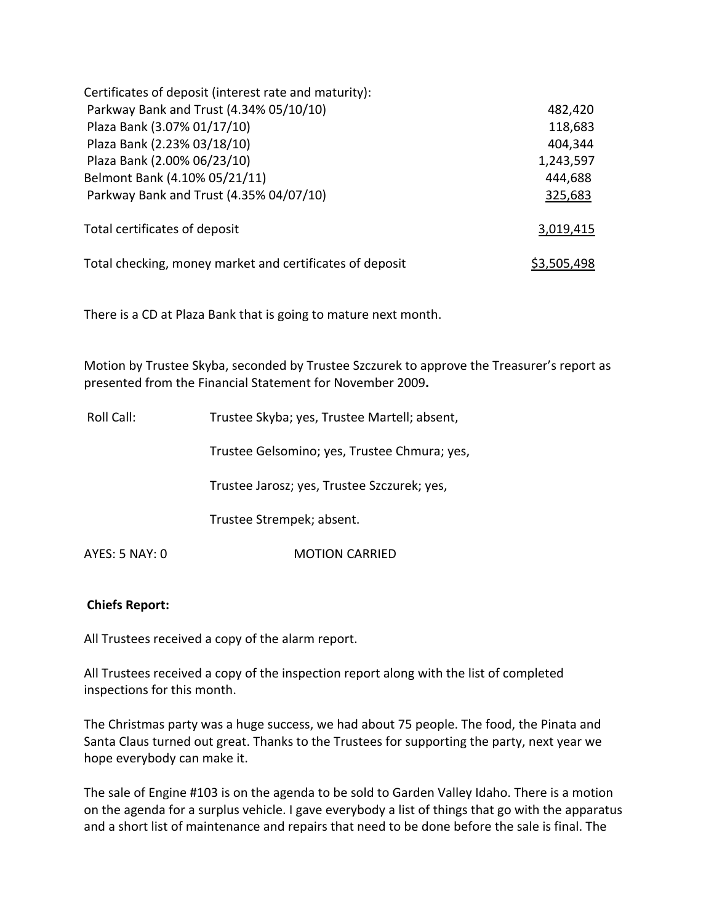| Certificates of deposit (interest rate and maturity):    |                    |
|----------------------------------------------------------|--------------------|
| Parkway Bank and Trust (4.34% 05/10/10)                  | 482,420            |
| Plaza Bank (3.07% 01/17/10)                              | 118,683            |
| Plaza Bank (2.23% 03/18/10)                              | 404,344            |
| Plaza Bank (2.00% 06/23/10)                              | 1,243,597          |
| Belmont Bank (4.10% 05/21/11)                            | 444,688            |
| Parkway Bank and Trust (4.35% 04/07/10)                  | 325,683            |
| Total certificates of deposit                            | 3,019,415          |
| Total checking, money market and certificates of deposit | <u>\$3,505,498</u> |

There is a CD at Plaza Bank that is going to mature next month.

Motion by Trustee Skyba, seconded by Trustee Szczurek to approve the Treasurer's report as presented from the Financial Statement for November 2009**.**

| Roll Call:     | Trustee Skyba; yes, Trustee Martell; absent, |
|----------------|----------------------------------------------|
|                | Trustee Gelsomino; yes, Trustee Chmura; yes, |
|                | Trustee Jarosz; yes, Trustee Szczurek; yes,  |
|                | Trustee Strempek; absent.                    |
| AYES: 5 NAY: 0 | <b>MOTION CARRIED</b>                        |

## **Chiefs Report:**

All Trustees received a copy of the alarm report.

All Trustees received a copy of the inspection report along with the list of completed inspections for this month.

The Christmas party was a huge success, we had about 75 people. The food, the Pinata and Santa Claus turned out great. Thanks to the Trustees for supporting the party, next year we hope everybody can make it.

The sale of Engine #103 is on the agenda to be sold to Garden Valley Idaho. There is a motion on the agenda for a surplus vehicle. I gave everybody a list of things that go with the apparatus and a short list of maintenance and repairs that need to be done before the sale is final. The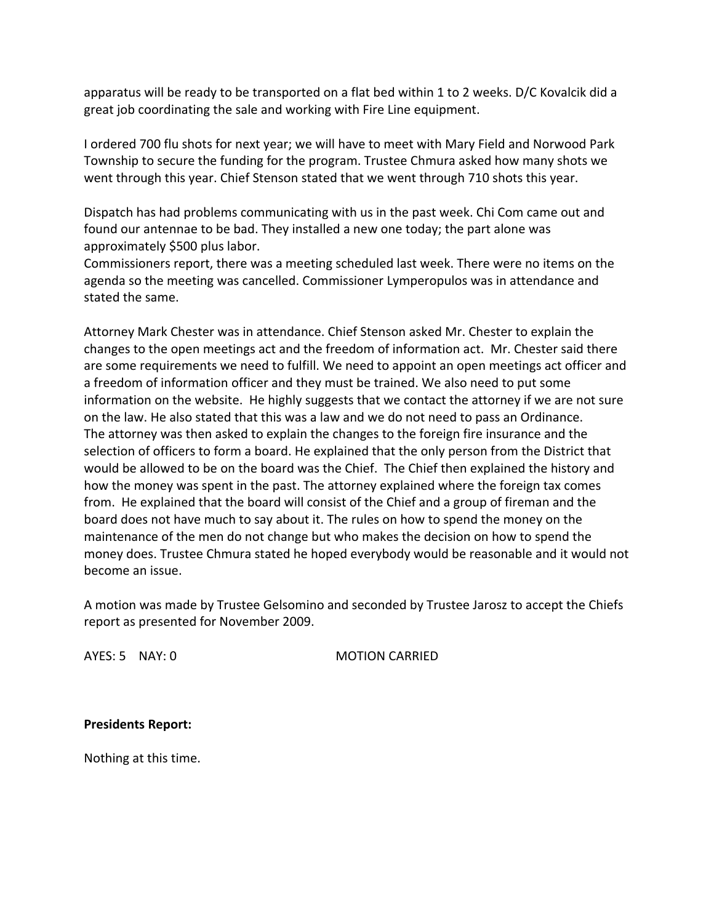apparatus will be ready to be transported on a flat bed within 1 to 2 weeks. D/C Kovalcik did a great job coordinating the sale and working with Fire Line equipment.

I ordered 700 flu shots for next year; we will have to meet with Mary Field and Norwood Park Township to secure the funding for the program. Trustee Chmura asked how many shots we went through this year. Chief Stenson stated that we went through 710 shots this year.

Dispatch has had problems communicating with us in the past week. Chi Com came out and found our antennae to be bad. They installed a new one today; the part alone was approximately \$500 plus labor.

Commissioners report, there was a meeting scheduled last week. There were no items on the agenda so the meeting was cancelled. Commissioner Lymperopulos was in attendance and stated the same.

Attorney Mark Chester was in attendance. Chief Stenson asked Mr. Chester to explain the changes to the open meetings act and the freedom of information act. Mr. Chester said there are some requirements we need to fulfill. We need to appoint an open meetings act officer and a freedom of information officer and they must be trained. We also need to put some information on the website. He highly suggests that we contact the attorney if we are not sure on the law. He also stated that this was a law and we do not need to pass an Ordinance. The attorney was then asked to explain the changes to the foreign fire insurance and the selection of officers to form a board. He explained that the only person from the District that would be allowed to be on the board was the Chief. The Chief then explained the history and how the money was spent in the past. The attorney explained where the foreign tax comes from. He explained that the board will consist of the Chief and a group of fireman and the board does not have much to say about it. The rules on how to spend the money on the maintenance of the men do not change but who makes the decision on how to spend the money does. Trustee Chmura stated he hoped everybody would be reasonable and it would not become an issue.

A motion was made by Trustee Gelsomino and seconded by Trustee Jarosz to accept the Chiefs report as presented for November 2009.

AYES: 5 NAY: 0 MOTION CARRIED

**Presidents Report:** 

Nothing at this time.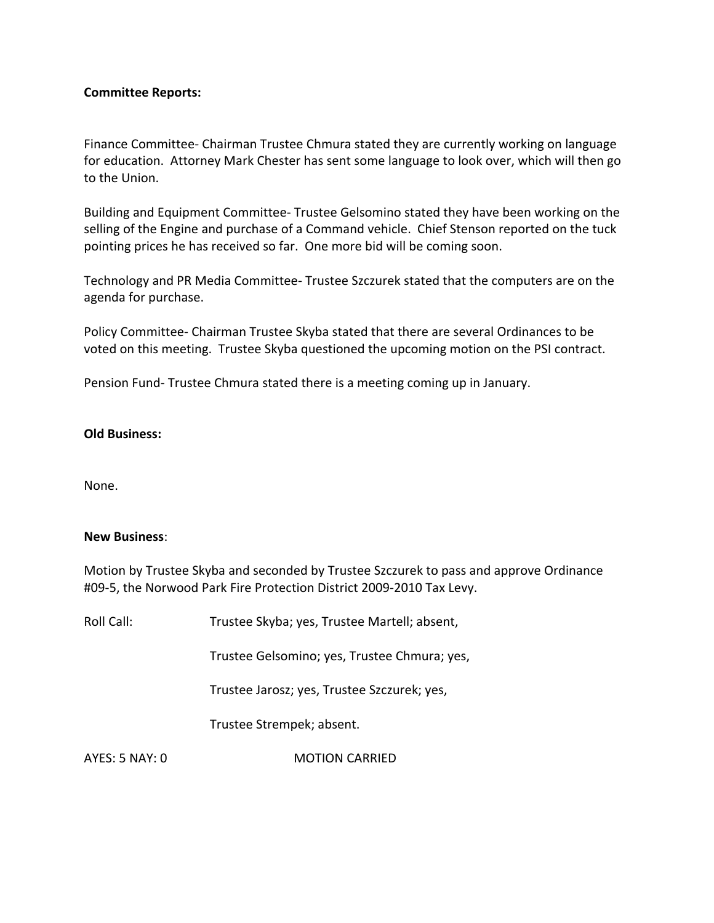#### **Committee Reports:**

Finance Committee‐ Chairman Trustee Chmura stated they are currently working on language for education. Attorney Mark Chester has sent some language to look over, which will then go to the Union.

Building and Equipment Committee‐ Trustee Gelsomino stated they have been working on the selling of the Engine and purchase of a Command vehicle. Chief Stenson reported on the tuck pointing prices he has received so far. One more bid will be coming soon.

Technology and PR Media Committee‐ Trustee Szczurek stated that the computers are on the agenda for purchase.

Policy Committee‐ Chairman Trustee Skyba stated that there are several Ordinances to be voted on this meeting. Trustee Skyba questioned the upcoming motion on the PSI contract.

Pension Fund‐ Trustee Chmura stated there is a meeting coming up in January.

#### **Old Business:**

None.

#### **New Business**:

Motion by Trustee Skyba and seconded by Trustee Szczurek to pass and approve Ordinance #09‐5, the Norwood Park Fire Protection District 2009‐2010 Tax Levy.

| Roll Call:     | Trustee Skyba; yes, Trustee Martell; absent, |
|----------------|----------------------------------------------|
|                | Trustee Gelsomino; yes, Trustee Chmura; yes, |
|                | Trustee Jarosz; yes, Trustee Szczurek; yes,  |
|                | Trustee Strempek; absent.                    |
| AYES: 5 NAY: 0 | <b>MOTION CARRIED</b>                        |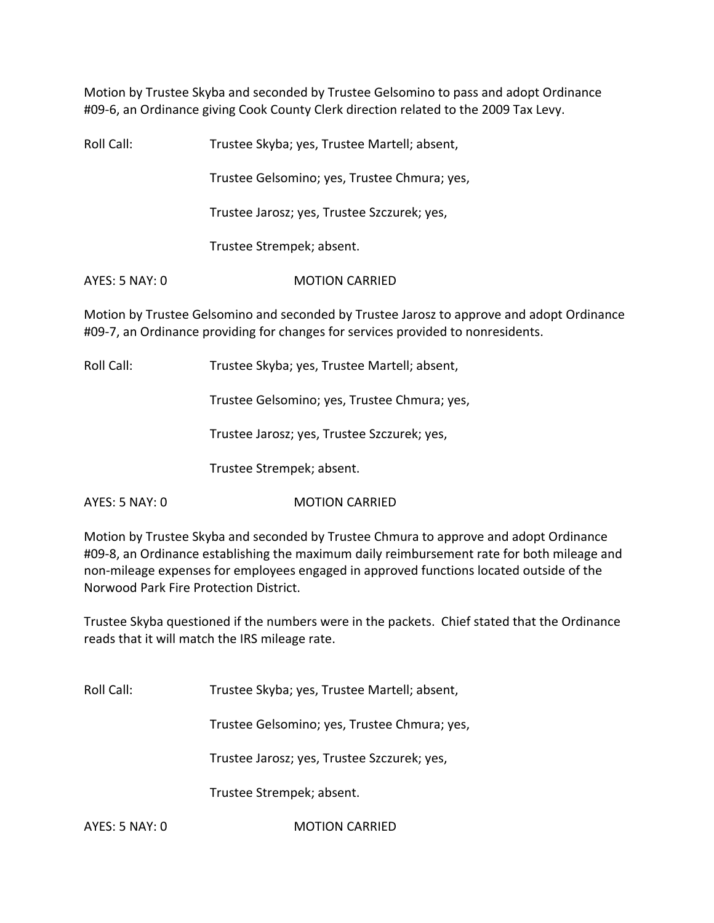Motion by Trustee Skyba and seconded by Trustee Gelsomino to pass and adopt Ordinance #09-6, an Ordinance giving Cook County Clerk direction related to the 2009 Tax Levy.

Roll Call: Trustee Skyba; yes, Trustee Martell; absent, Trustee Gelsomino; yes, Trustee Chmura; yes, Trustee Jarosz; yes, Trustee Szczurek; yes, Trustee Strempek; absent. AYES: 5 NAY: 0 **MOTION CARRIED** Motion by Trustee Gelsomino and seconded by Trustee Jarosz to approve and adopt Ordinance #09‐7, an Ordinance providing for changes for services provided to nonresidents.

Roll Call: Trustee Skyba; yes, Trustee Martell; absent,

Trustee Gelsomino; yes, Trustee Chmura; yes,

Trustee Jarosz; yes, Trustee Szczurek; yes,

Trustee Strempek; absent.

AYES: 5 NAY: 0 MOTION CARRIED

Motion by Trustee Skyba and seconded by Trustee Chmura to approve and adopt Ordinance #09-8, an Ordinance establishing the maximum daily reimbursement rate for both mileage and non‐mileage expenses for employees engaged in approved functions located outside of the Norwood Park Fire Protection District.

Trustee Skyba questioned if the numbers were in the packets. Chief stated that the Ordinance reads that it will match the IRS mileage rate.

Roll Call: Trustee Skyba; yes, Trustee Martell; absent,

Trustee Gelsomino; yes, Trustee Chmura; yes,

Trustee Jarosz; yes, Trustee Szczurek; yes,

Trustee Strempek; absent.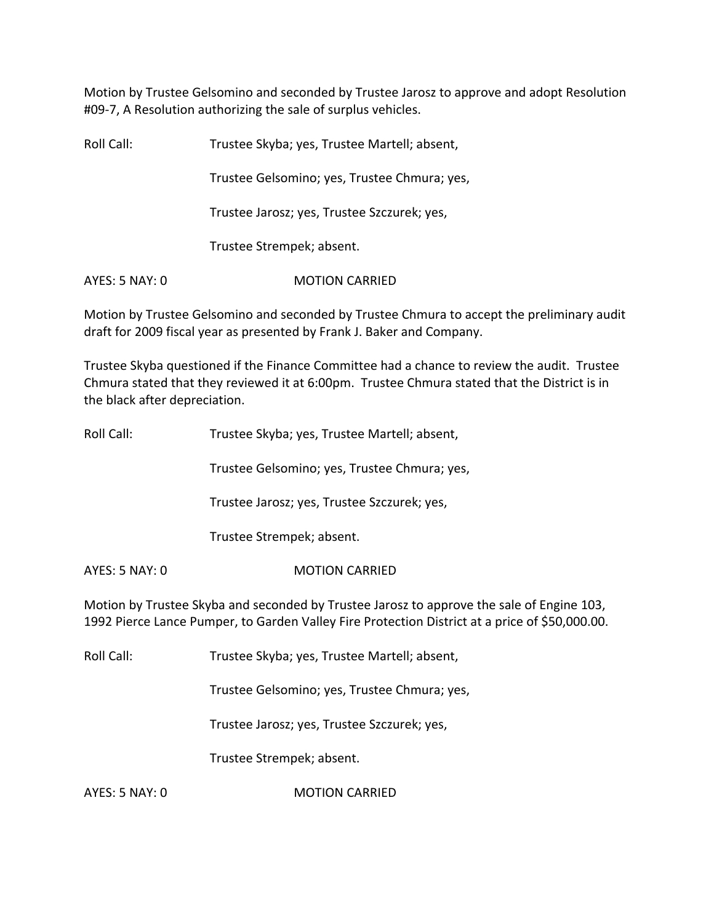Motion by Trustee Gelsomino and seconded by Trustee Jarosz to approve and adopt Resolution #09‐7, A Resolution authorizing the sale of surplus vehicles.

Roll Call: Trustee Skyba; yes, Trustee Martell; absent, Trustee Gelsomino; yes, Trustee Chmura; yes, Trustee Jarosz; yes, Trustee Szczurek; yes, Trustee Strempek; absent. AYES: 5 NAY: 0 **MOTION CARRIED** 

Motion by Trustee Gelsomino and seconded by Trustee Chmura to accept the preliminary audit draft for 2009 fiscal year as presented by Frank J. Baker and Company.

Trustee Skyba questioned if the Finance Committee had a chance to review the audit. Trustee Chmura stated that they reviewed it at 6:00pm. Trustee Chmura stated that the District is in the black after depreciation.

| Roll Call:     | Trustee Skyba; yes, Trustee Martell; absent, |
|----------------|----------------------------------------------|
|                | Trustee Gelsomino; yes, Trustee Chmura; yes, |
|                | Trustee Jarosz; yes, Trustee Szczurek; yes,  |
|                | Trustee Strempek; absent.                    |
| AYES: 5 NAY: 0 | <b>MOTION CARRIED</b>                        |

Motion by Trustee Skyba and seconded by Trustee Jarosz to approve the sale of Engine 103, 1992 Pierce Lance Pumper, to Garden Valley Fire Protection District at a price of \$50,000.00.

Roll Call: Trustee Skyba; yes, Trustee Martell; absent,

Trustee Gelsomino; yes, Trustee Chmura; yes,

Trustee Jarosz; yes, Trustee Szczurek; yes,

Trustee Strempek; absent.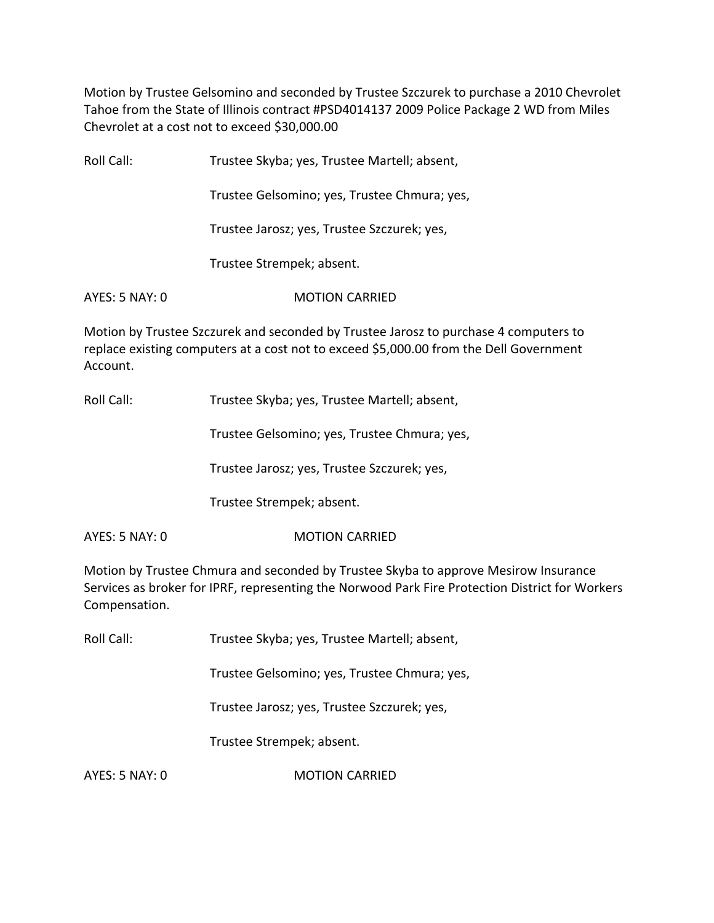Motion by Trustee Gelsomino and seconded by Trustee Szczurek to purchase a 2010 Chevrolet Tahoe from the State of Illinois contract #PSD4014137 2009 Police Package 2 WD from Miles Chevrolet at a cost not to exceed \$30,000.00

| Roll Call:     | Trustee Skyba; yes, Trustee Martell; absent, |
|----------------|----------------------------------------------|
|                | Trustee Gelsomino; yes, Trustee Chmura; yes, |
|                | Trustee Jarosz; yes, Trustee Szczurek; yes,  |
|                | Trustee Strempek; absent.                    |
| AYES: 5 NAY: 0 | <b>MOTION CARRIED</b>                        |
|                |                                              |

Motion by Trustee Szczurek and seconded by Trustee Jarosz to purchase 4 computers to replace existing computers at a cost not to exceed \$5,000.00 from the Dell Government Account.

Roll Call: Trustee Skyba; yes, Trustee Martell; absent,

Trustee Gelsomino; yes, Trustee Chmura; yes,

Trustee Jarosz; yes, Trustee Szczurek; yes,

Trustee Strempek; absent.

AYES: 5 NAY: 0 MOTION CARRIED

Motion by Trustee Chmura and seconded by Trustee Skyba to approve Mesirow Insurance Services as broker for IPRF, representing the Norwood Park Fire Protection District for Workers Compensation.

Roll Call: Trustee Skyba; yes, Trustee Martell; absent,

Trustee Gelsomino; yes, Trustee Chmura; yes,

Trustee Jarosz; yes, Trustee Szczurek; yes,

Trustee Strempek; absent.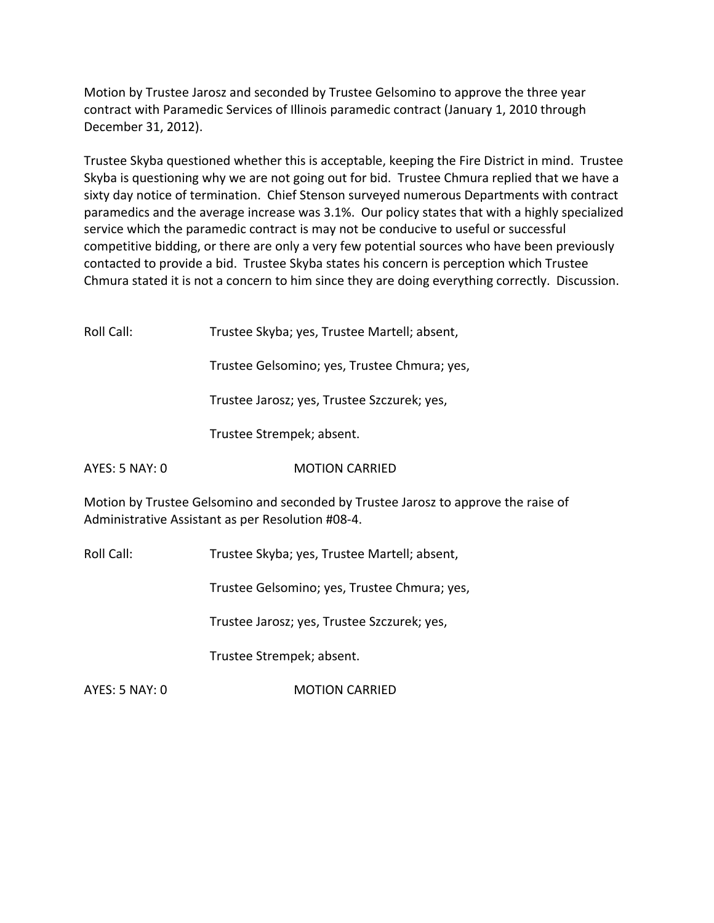Motion by Trustee Jarosz and seconded by Trustee Gelsomino to approve the three year contract with Paramedic Services of Illinois paramedic contract (January 1, 2010 through December 31, 2012).

Trustee Skyba questioned whether this is acceptable, keeping the Fire District in mind. Trustee Skyba is questioning why we are not going out for bid. Trustee Chmura replied that we have a sixty day notice of termination. Chief Stenson surveyed numerous Departments with contract paramedics and the average increase was 3.1%. Our policy states that with a highly specialized service which the paramedic contract is may not be conducive to useful or successful competitive bidding, or there are only a very few potential sources who have been previously contacted to provide a bid. Trustee Skyba states his concern is perception which Trustee Chmura stated it is not a concern to him since they are doing everything correctly. Discussion.

| Roll Call:     | Trustee Skyba; yes, Trustee Martell; absent,                                                                                            |
|----------------|-----------------------------------------------------------------------------------------------------------------------------------------|
|                | Trustee Gelsomino; yes, Trustee Chmura; yes,                                                                                            |
|                | Trustee Jarosz; yes, Trustee Szczurek; yes,                                                                                             |
|                | Trustee Strempek; absent.                                                                                                               |
| AYES: 5 NAY: 0 | <b>MOTION CARRIED</b>                                                                                                                   |
|                | Motion by Trustee Gelsomino and seconded by Trustee Jarosz to approve the raise of<br>Administrative Assistant as per Resolution #08-4. |
| Roll Call:     | Trustee Skyba; yes, Trustee Martell; absent,                                                                                            |
|                | Trustee Gelsomino; yes, Trustee Chmura; yes,                                                                                            |
|                | Trustee Jarosz; yes, Trustee Szczurek; yes,                                                                                             |
|                |                                                                                                                                         |

Trustee Strempek; absent.